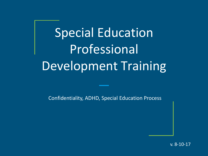# Special Education Professional Development Training

Confidentiality, ADHD, Special Education Process

v. 8-10-17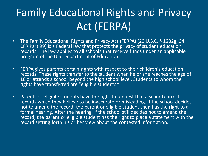# Family Educational Rights and Privacy Act (FERPA)

- The Family Educational Rights and Privacy Act (FERPA) (20 U.S.C. § 1232g; 34 CFR Part 99) is a Federal law that protects the privacy of student education records. The law applies to all schools that receive funds under an applicable program of the U.S. Department of Education.
- FERPA gives parents certain rights with respect to their children's education records. These rights transfer to the student when he or she reaches the age of 18 or attends a school beyond the high school level. Students to whom the rights have transferred are "eligible students."
- Parents or eligible students have the right to request that a school correct records which they believe to be inaccurate or misleading. If the school decides not to amend the record, the parent or eligible student then has the right to a formal hearing. After the hearing, if the school still decides not to amend the record, the parent or eligible student has the right to place a statement with the record setting forth his or her view about the contested information.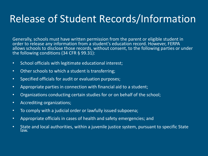#### Release of Student Records/Information

Generally, schools must have written permission from the parent or eligible student in order to release any information from a student's education record. However, FERPA allows schools to disclose those records, without consent, to the following parties or under the following conditions (34 CFR § 99.31):

- School officials with legitimate educational interest;
- Other schools to which a student is transferring;
- Specified officials for audit or evaluation purposes;
- Appropriate parties in connection with financial aid to a student;
- Organizations conducting certain studies for or on behalf of the school;
- Accrediting organizations;
- To comply with a judicial order or lawfully issued subpoena;
- Appropriate officials in cases of health and safety emergencies; and
- State and local authorities, within a juvenile justice system, pursuant to specific State law.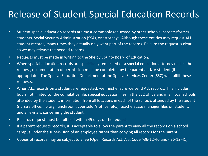#### Release of Student Special Education Records

- Student special education records are most commonly requested by other schools, parents/former students, Social Security Administration (SSA), or attorneys. Although these entities may request ALL student records, many times they actually only want part of the records. Be sure the request is clear so we may release the needed records.
- Requests must be made in writing to the Shelby County Board of Education.
- When special education records are specifically requested or a special education attorney makes the request, documentation of permission must be completed by the parent and/or student (if appropriate). The Special Education Department at the Special Services Center (SSC) will fulfill these requests.
- When ALL records on a student are requested, we must ensure we send ALL records. This includes, but is not limited to: the cumulative file, special education files in the SSC office and in all local schools attended by the student, information from all locations in each of the schools attended by the student (nurse's office, library, lunchroom, counselor's office, etc.), teacher/case manager files on student, and all e-mails concerning the student.
- Records request must be fulfilled within 45 days of the request.
- If a parent requests records, it is acceptable to allow the parent to view all the records on a school campus under the supervision of an employee rather than copying all records for the parent.
- Copies of records may be subject to a fee (Open Records Act, Ala. Code §36-12-40 and §36-12-41).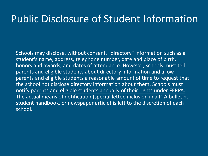#### Public Disclosure of Student Information

Schools may disclose, without consent, "directory" information such as a student's name, address, telephone number, date and place of birth, honors and awards, and dates of attendance. However, schools must tell parents and eligible students about directory information and allow parents and eligible students a reasonable amount of time to request that the school not disclose directory information about them. Schools must notify parents and eligible students annually of their rights under FERPA. The actual means of notification (special letter, inclusion in a PTA bulletin, student handbook, or newspaper article) is left to the discretion of each school.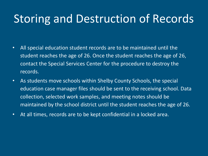## Storing and Destruction of Records

- All special education student records are to be maintained until the student reaches the age of 26. Once the student reaches the age of 26, contact the Special Services Center for the procedure to destroy the records.
- As students move schools within Shelby County Schools, the special education case manager files should be sent to the receiving school. Data collection, selected work samples, and meeting notes should be maintained by the school district until the student reaches the age of 26.
- At all times, records are to be kept confidential in a locked area.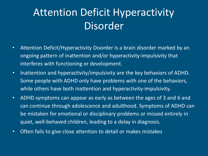## Attention Deficit Hyperactivity Disorder

- Attention Deficit/Hyperactivity Disorder is a brain disorder marked by an ongoing pattern of inattention and/or hyperactivity-impulsivity that interferes with functioning or development.
- Inattention and hyperactivity/impulsivity are the key behaviors of ADHD. Some people with ADHD only have problems with one of the behaviors, while others have both inattention and hyperactivity-impulsivity.
- ADHD symptoms can appear as early as between the ages of 3 and 6 and can continue through adolescence and adulthood. Symptoms of ADHD can be mistaken for emotional or disciplinary problems or missed entirely in quiet, well-behaved children, leading to a delay in diagnosis.
- Often fails to give close attention to detail or makes mistakes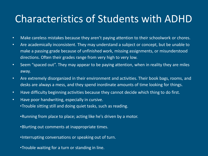#### Characteristics of Students with ADHD

- Make careless mistakes because they aren't paying attention to their schoolwork or chores.
- Are academically inconsistent. They may understand a subject or concept, but be unable to make a passing grade because of unfinished work, missing assignments, or misunderstood directions. Often their grades range from very high to very low.
- Seem "spaced out". They may appear to be paying attention, when in reality they are miles away.
- Are extremely disorganized in their environment and activities. Their book bags, rooms, and desks are always a mess, and they spend inordinate amounts of time looking for things.
- Have difficulty beginning activities because they cannot decide which thing to do first.
- Have poor handwriting, especially in cursive. •Trouble sitting still and doing quiet tasks, such as reading.
	- •Running from place to place; acting like he's driven by a motor.
	- •Blurting out comments at inappropriate times.
	- •Interrupting conversations or speaking out of turn.
	- •Trouble waiting for a turn or standing in line.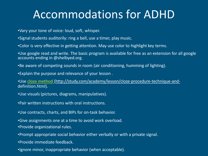## Accommodations for ADHD

- •Vary your tone of voice: loud, soft, whisper.
- •Signal students auditorily: ring a bell, use a timer, play music.
- •Color is very effective in getting attention. May use color to highlight key terms.

•Use google read and write. The basic program is available for free as an extension for all google accounts ending in @shelbyed.org.

- •Be aware of competing sounds in room (air conditioning, humming of lighting).
- •Explain the purpose and relevance of your lesson .

•Use **cloze method** ([http://study.com/academy/lesson/cloze-procedure-technique-and](http://study.com/academy/lesson/cloze-procedure-technique-and-)definition.html).

- •Use visuals (pictures, diagrams, manipulatives).
- •Pair written instructions with oral instructions.
- •Use contracts, charts, and BIPs for on-task behavior.
- •Give assignments one at a time to avoid work overload.
- •Provide organizational rules.
- •Prompt appropriate social behavior either verbally or with a private signal.
- •Provide immediate feedback.
- •Ignore minor, inappropriate behavior (when acceptable).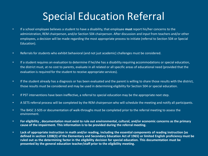### Special Education Referral

- If a school employee believes a student to have a disability, that employee **must** report his/her concerns to the administration, REM chairperson, and/or Section 504 chairperson. After discussion and input from teachers and/or other employees, a decision will be made regarding the most appropriate process to initiate (referral to Section 504 or Special Education).
- Referrals for students who exhibit behavioral (and not just academic) challenges must be considered.
- If a student requires an evaluation to determine if he/she has a disability requiring accommodations or special education, the district must, at no cost to parents, evaluate in all related or all specific areas of educational need (provided that the evaluation is required for the student to receive appropriate services).
- If the student already has a diagnosis or has been evaluated and the parent is willing to share those results with the district, those results must be considered and may be used in determining eligibility for Section 504 or special education.
- If PST interventions have been ineffective, a referral to special education may be the appropriate next step.
- A SETS referral process will be completed by the REM chairperson who will schedule the meeting and notify all participants.
- The BASC 2-SOS or documentation of walk-throughs must be completed prior to the referral meeting to assess the environment.
- For eligibility, documentation must exist to rule out environmental, cultural, and/or economic concerns as the primary **cause of the impairment. This information is to be provided during the referral meeting.**
- **Lack of appropriate instruction in math and/or reading, including the essential components of reading instruction (as**  defined in section 1208(3) of the Elementary and Secondary Education Act of 1965) or limited English proficiency must be ruled out as the determining factor in the eligibility decision for special education. This documentation must be **presented by the general education teacher/staff prior to the eligibility meeting.**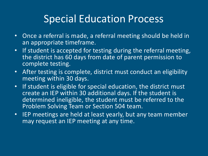#### Special Education Process

- Once a referral is made, a referral meeting should be held in an appropriate timeframe.
- If student is accepted for testing during the referral meeting, the district has 60 days from date of parent permission to complete testing.
- After testing is complete, district must conduct an eligibility meeting within 30 days.
- If student is eligible for special education, the district must create an IEP within 30 additional days. If the student is determined ineligible, the student must be referred to the Problem Solving Team or Section 504 team.
- IEP meetings are held at least yearly, but any team member may request an IEP meeting at any time.